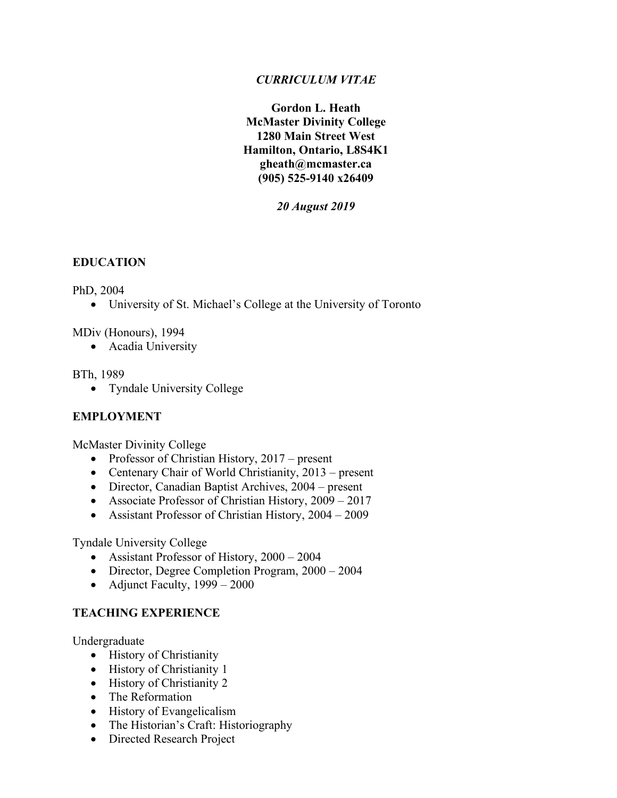## *CURRICULUM VITAE*

**Gordon L. Heath McMaster Divinity College 1280 Main Street West Hamilton, Ontario, L8S4K1 gheath@mcmaster.ca (905) 525-9140 x26409**

*20 August 2019*

### **EDUCATION**

#### PhD, 2004

• University of St. Michael's College at the University of Toronto

MDiv (Honours), 1994

• Acadia University

#### BTh, 1989

• Tyndale University College

### **EMPLOYMENT**

McMaster Divinity College

- Professor of Christian History, 2017 present
- Centenary Chair of World Christianity, 2013 present
- Director, Canadian Baptist Archives, 2004 present
- Associate Professor of Christian History, 2009 2017
- Assistant Professor of Christian History, 2004 2009

Tyndale University College

- Assistant Professor of History, 2000 2004
- Director, Degree Completion Program,  $2000 2004$
- Adjunct Faculty,  $1999 2000$

### **TEACHING EXPERIENCE**

Undergraduate

- History of Christianity
- History of Christianity 1
- History of Christianity 2
- The Reformation
- History of Evangelicalism
- The Historian's Craft: Historiography
- Directed Research Project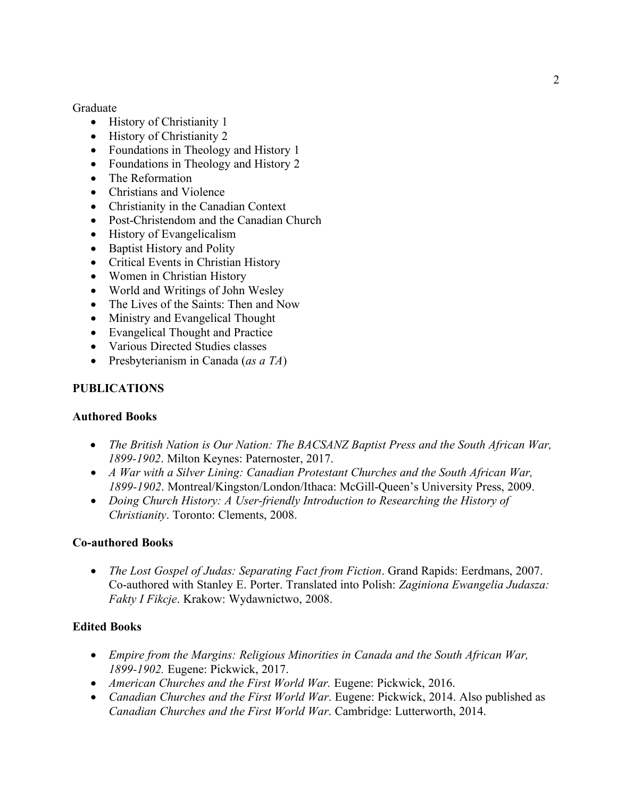Graduate

- History of Christianity 1
- History of Christianity 2
- Foundations in Theology and History 1
- Foundations in Theology and History 2
- The Reformation
- Christians and Violence
- Christianity in the Canadian Context
- Post-Christendom and the Canadian Church
- History of Evangelicalism
- Baptist History and Polity
- Critical Events in Christian History
- Women in Christian History
- World and Writings of John Wesley
- The Lives of the Saints: Then and Now
- Ministry and Evangelical Thought
- Evangelical Thought and Practice
- Various Directed Studies classes
- Presbyterianism in Canada (*as a TA*)

#### **PUBLICATIONS**

#### **Authored Books**

- *The British Nation is Our Nation: The BACSANZ Baptist Press and the South African War, 1899-1902*. Milton Keynes: Paternoster, 2017.
- *A War with a Silver Lining: Canadian Protestant Churches and the South African War, 1899-1902*. Montreal/Kingston/London/Ithaca: McGill-Queen's University Press, 2009.
- *Doing Church History: A User-friendly Introduction to Researching the History of Christianity*. Toronto: Clements, 2008.

#### **Co-authored Books**

• *The Lost Gospel of Judas: Separating Fact from Fiction*. Grand Rapids: Eerdmans, 2007. Co-authored with Stanley E. Porter. Translated into Polish: *Zaginiona Ewangelia Judasza: Fakty I Fikcje*. Krakow: Wydawnictwo, 2008.

#### **Edited Books**

- *Empire from the Margins: Religious Minorities in Canada and the South African War, 1899-1902.* Eugene: Pickwick, 2017.
- *American Churches and the First World War.* Eugene: Pickwick, 2016.
- *Canadian Churches and the First World War*. Eugene: Pickwick, 2014. Also published as *Canadian Churches and the First World War*. Cambridge: Lutterworth, 2014.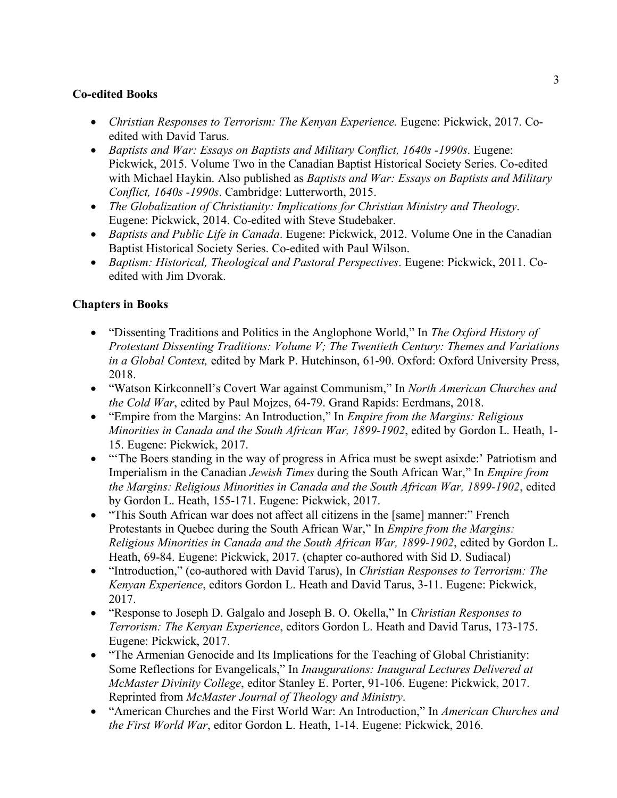## **Co-edited Books**

- *Christian Responses to Terrorism: The Kenyan Experience.* Eugene: Pickwick, 2017. Coedited with David Tarus.
- *Baptists and War: Essays on Baptists and Military Conflict, 1640s -1990s*. Eugene: Pickwick, 2015. Volume Two in the Canadian Baptist Historical Society Series. Co-edited with Michael Haykin. Also published as *Baptists and War: Essays on Baptists and Military Conflict, 1640s -1990s*. Cambridge: Lutterworth, 2015.
- *The Globalization of Christianity: Implications for Christian Ministry and Theology*. Eugene: Pickwick, 2014. Co-edited with Steve Studebaker.
- *Baptists and Public Life in Canada*. Eugene: Pickwick, 2012. Volume One in the Canadian Baptist Historical Society Series. Co-edited with Paul Wilson.
- *Baptism: Historical, Theological and Pastoral Perspectives*. Eugene: Pickwick, 2011. Coedited with Jim Dvorak.

## **Chapters in Books**

- "Dissenting Traditions and Politics in the Anglophone World," In *The Oxford History of Protestant Dissenting Traditions: Volume V; The Twentieth Century: Themes and Variations in a Global Context,* edited by Mark P. Hutchinson, 61-90. Oxford: Oxford University Press, 2018.
- "Watson Kirkconnell's Covert War against Communism," In *North American Churches and the Cold War*, edited by Paul Mojzes, 64-79. Grand Rapids: Eerdmans, 2018.
- "Empire from the Margins: An Introduction," In *Empire from the Margins: Religious Minorities in Canada and the South African War, 1899-1902*, edited by Gordon L. Heath, 1- 15. Eugene: Pickwick, 2017.
- "The Boers standing in the way of progress in Africa must be swept asixde:' Patriotism and Imperialism in the Canadian *Jewish Times* during the South African War," In *Empire from the Margins: Religious Minorities in Canada and the South African War, 1899-1902*, edited by Gordon L. Heath, 155-171. Eugene: Pickwick, 2017.
- "This South African war does not affect all citizens in the [same] manner:" French Protestants in Quebec during the South African War," In *Empire from the Margins: Religious Minorities in Canada and the South African War, 1899-1902*, edited by Gordon L. Heath, 69-84. Eugene: Pickwick, 2017. (chapter co-authored with Sid D. Sudiacal)
- "Introduction," (co-authored with David Tarus), In *Christian Responses to Terrorism: The Kenyan Experience*, editors Gordon L. Heath and David Tarus, 3-11. Eugene: Pickwick, 2017.
- "Response to Joseph D. Galgalo and Joseph B. O. Okella," In *Christian Responses to Terrorism: The Kenyan Experience*, editors Gordon L. Heath and David Tarus, 173-175. Eugene: Pickwick, 2017.
- "The Armenian Genocide and Its Implications for the Teaching of Global Christianity: Some Reflections for Evangelicals," In *Inaugurations: Inaugural Lectures Delivered at McMaster Divinity College*, editor Stanley E. Porter, 91-106. Eugene: Pickwick, 2017. Reprinted from *McMaster Journal of Theology and Ministry*.
- "American Churches and the First World War: An Introduction," In *American Churches and the First World War*, editor Gordon L. Heath, 1-14. Eugene: Pickwick, 2016.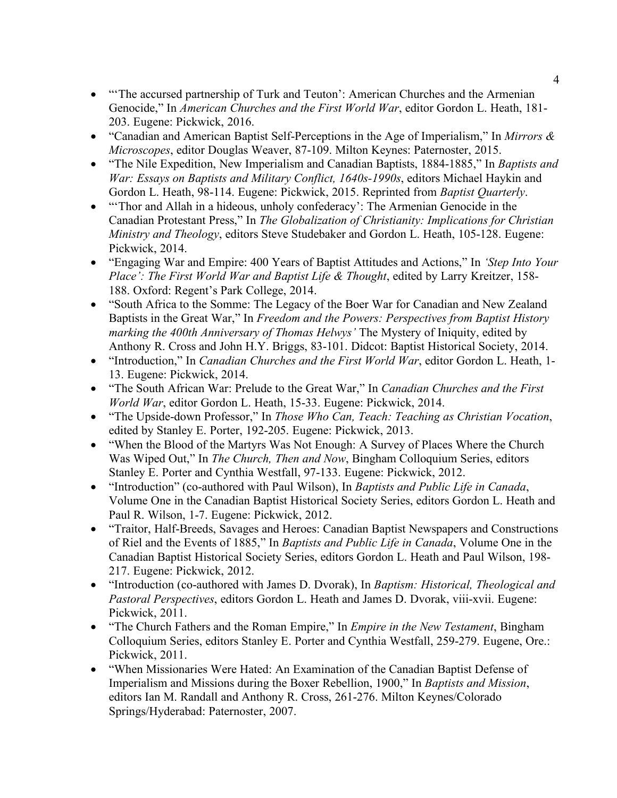- "'The accursed partnership of Turk and Teuton': American Churches and the Armenian Genocide," In *American Churches and the First World War*, editor Gordon L. Heath, 181- 203. Eugene: Pickwick, 2016.
- "Canadian and American Baptist Self-Perceptions in the Age of Imperialism," In *Mirrors & Microscopes*, editor Douglas Weaver, 87-109. Milton Keynes: Paternoster, 2015.
- "The Nile Expedition, New Imperialism and Canadian Baptists, 1884-1885," In *Baptists and War: Essays on Baptists and Military Conflict, 1640s-1990s*, editors Michael Haykin and Gordon L. Heath, 98-114. Eugene: Pickwick, 2015. Reprinted from *Baptist Quarterly*.
- "Thor and Allah in a hideous, unholy confederacy': The Armenian Genocide in the Canadian Protestant Press," In *The Globalization of Christianity: Implications for Christian Ministry and Theology*, editors Steve Studebaker and Gordon L. Heath, 105-128. Eugene: Pickwick, 2014.
- "Engaging War and Empire: 400 Years of Baptist Attitudes and Actions," In *'Step Into Your Place': The First World War and Baptist Life & Thought*, edited by Larry Kreitzer, 158- 188. Oxford: Regent's Park College, 2014.
- "South Africa to the Somme: The Legacy of the Boer War for Canadian and New Zealand Baptists in the Great War," In *Freedom and the Powers: Perspectives from Baptist History marking the 400th Anniversary of Thomas Helwys'* The Mystery of Iniquity, edited by Anthony R. Cross and John H.Y. Briggs, 83-101. Didcot: Baptist Historical Society, 2014.
- "Introduction," In *Canadian Churches and the First World War*, editor Gordon L. Heath, 1- 13. Eugene: Pickwick, 2014.
- "The South African War: Prelude to the Great War," In *Canadian Churches and the First World War*, editor Gordon L. Heath, 15-33. Eugene: Pickwick, 2014.
- "The Upside-down Professor," In *Those Who Can, Teach: Teaching as Christian Vocation*, edited by Stanley E. Porter, 192-205. Eugene: Pickwick, 2013.
- "When the Blood of the Martyrs Was Not Enough: A Survey of Places Where the Church Was Wiped Out," In *The Church, Then and Now*, Bingham Colloquium Series, editors Stanley E. Porter and Cynthia Westfall, 97-133. Eugene: Pickwick, 2012.
- "Introduction" (co-authored with Paul Wilson), In *Baptists and Public Life in Canada*, Volume One in the Canadian Baptist Historical Society Series, editors Gordon L. Heath and Paul R. Wilson, 1-7. Eugene: Pickwick, 2012.
- "Traitor, Half-Breeds, Savages and Heroes: Canadian Baptist Newspapers and Constructions of Riel and the Events of 1885," In *Baptists and Public Life in Canada*, Volume One in the Canadian Baptist Historical Society Series, editors Gordon L. Heath and Paul Wilson, 198- 217. Eugene: Pickwick, 2012.
- "Introduction (co-authored with James D. Dvorak), In *Baptism: Historical, Theological and Pastoral Perspectives*, editors Gordon L. Heath and James D. Dvorak, viii-xvii. Eugene: Pickwick, 2011.
- "The Church Fathers and the Roman Empire," In *Empire in the New Testament*, Bingham Colloquium Series, editors Stanley E. Porter and Cynthia Westfall, 259-279. Eugene, Ore.: Pickwick, 2011.
- "When Missionaries Were Hated: An Examination of the Canadian Baptist Defense of Imperialism and Missions during the Boxer Rebellion, 1900," In *Baptists and Mission*, editors Ian M. Randall and Anthony R. Cross, 261-276. Milton Keynes/Colorado Springs/Hyderabad: Paternoster, 2007.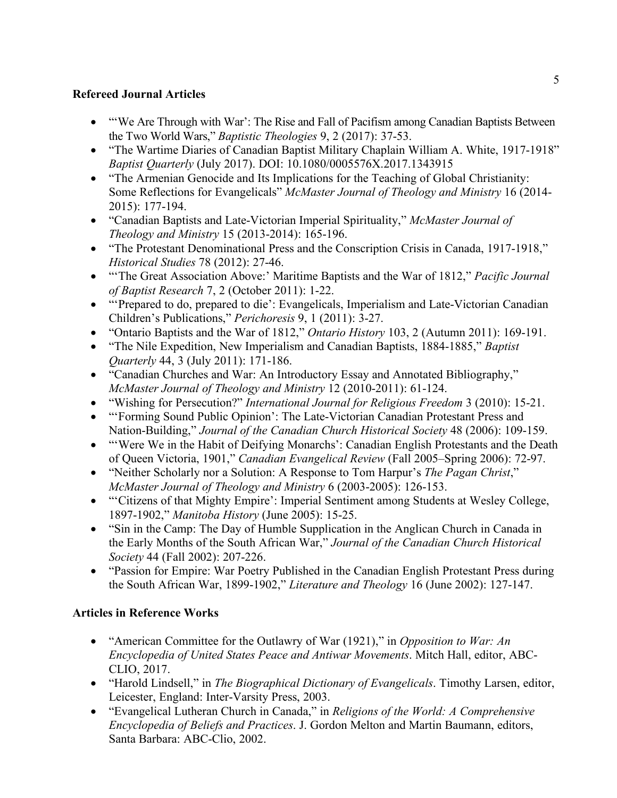## **Refereed Journal Articles**

- "We Are Through with War': The Rise and Fall of Pacifism among Canadian Baptists Between the Two World Wars," *Baptistic Theologies* 9, 2 (2017): 37-53.
- "The Wartime Diaries of Canadian Baptist Military Chaplain William A. White, 1917-1918" *Baptist Quarterly* (July 2017). DOI: 10.1080/0005576X.2017.1343915
- "The Armenian Genocide and Its Implications for the Teaching of Global Christianity: Some Reflections for Evangelicals" *McMaster Journal of Theology and Ministry* 16 (2014- 2015): 177-194.
- "Canadian Baptists and Late-Victorian Imperial Spirituality," *McMaster Journal of Theology and Ministry* 15 (2013-2014): 165-196.
- "The Protestant Denominational Press and the Conscription Crisis in Canada, 1917-1918," *Historical Studies* 78 (2012): 27-46.
- "'The Great Association Above:' Maritime Baptists and the War of 1812," *Pacific Journal of Baptist Research* 7, 2 (October 2011): 1-22.
- "'Prepared to do, prepared to die': Evangelicals, Imperialism and Late-Victorian Canadian Children's Publications," *Perichoresis* 9, 1 (2011): 3-27.
- "Ontario Baptists and the War of 1812," *Ontario History* 103, 2 (Autumn 2011): 169-191.
- "The Nile Expedition, New Imperialism and Canadian Baptists, 1884-1885," *Baptist Quarterly* 44, 3 (July 2011): 171-186.
- "Canadian Churches and War: An Introductory Essay and Annotated Bibliography," *McMaster Journal of Theology and Ministry* 12 (2010-2011): 61-124.
- "Wishing for Persecution?" *International Journal for Religious Freedom* 3 (2010): 15-21.
- "'Forming Sound Public Opinion': The Late-Victorian Canadian Protestant Press and Nation-Building," *Journal of the Canadian Church Historical Society* 48 (2006): 109-159.
- "Were We in the Habit of Deifying Monarchs': Canadian English Protestants and the Death of Queen Victoria, 1901," *Canadian Evangelical Review* (Fall 2005–Spring 2006): 72-97.
- "Neither Scholarly nor a Solution: A Response to Tom Harpur's *The Pagan Christ*," *McMaster Journal of Theology and Ministry* 6 (2003-2005): 126-153.
- "Citizens of that Mighty Empire': Imperial Sentiment among Students at Wesley College, 1897-1902," *Manitoba History* (June 2005): 15-25.
- "Sin in the Camp: The Day of Humble Supplication in the Anglican Church in Canada in the Early Months of the South African War," *Journal of the Canadian Church Historical Society* 44 (Fall 2002): 207-226.
- "Passion for Empire: War Poetry Published in the Canadian English Protestant Press during the South African War, 1899-1902," *Literature and Theology* 16 (June 2002): 127-147.

# **Articles in Reference Works**

- "American Committee for the Outlawry of War (1921)," in *Opposition to War: An Encyclopedia of United States Peace and Antiwar Movements*. Mitch Hall, editor, ABC-CLIO, 2017.
- "Harold Lindsell," in *The Biographical Dictionary of Evangelicals*. Timothy Larsen, editor, Leicester, England: Inter-Varsity Press, 2003.
- "Evangelical Lutheran Church in Canada," in *Religions of the World: A Comprehensive Encyclopedia of Beliefs and Practices*. J. Gordon Melton and Martin Baumann, editors, Santa Barbara: ABC-Clio, 2002.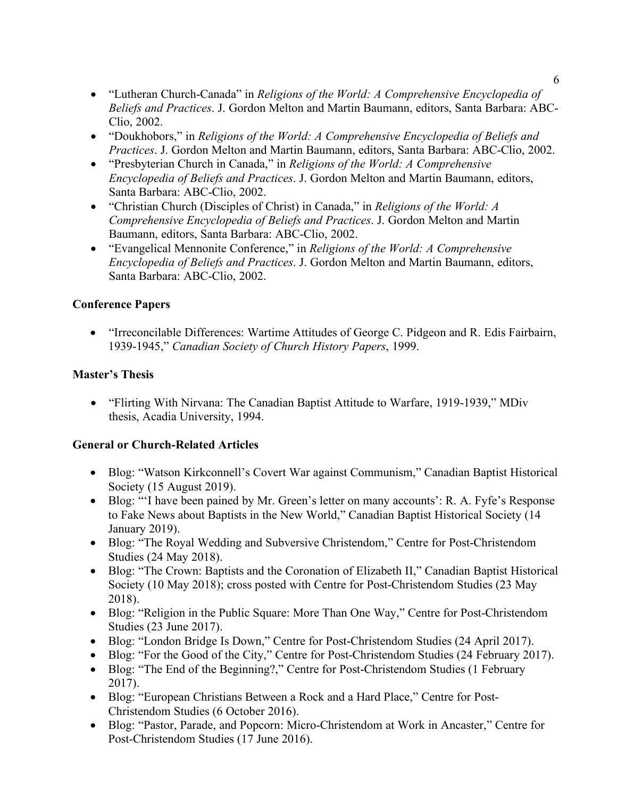- "Lutheran Church-Canada" in *Religions of the World: A Comprehensive Encyclopedia of Beliefs and Practices*. J. Gordon Melton and Martin Baumann, editors, Santa Barbara: ABC-Clio, 2002.
- "Doukhobors," in *Religions of the World: A Comprehensive Encyclopedia of Beliefs and Practices*. J. Gordon Melton and Martin Baumann, editors, Santa Barbara: ABC-Clio, 2002.
- "Presbyterian Church in Canada," in *Religions of the World: A Comprehensive Encyclopedia of Beliefs and Practices*. J. Gordon Melton and Martin Baumann, editors, Santa Barbara: ABC-Clio, 2002.
- "Christian Church (Disciples of Christ) in Canada," in *Religions of the World: A Comprehensive Encyclopedia of Beliefs and Practices*. J. Gordon Melton and Martin Baumann, editors, Santa Barbara: ABC-Clio, 2002.
- "Evangelical Mennonite Conference," in *Religions of the World: A Comprehensive Encyclopedia of Beliefs and Practices*. J. Gordon Melton and Martin Baumann, editors, Santa Barbara: ABC-Clio, 2002.

## **Conference Papers**

• "Irreconcilable Differences: Wartime Attitudes of George C. Pidgeon and R. Edis Fairbairn, 1939-1945," *Canadian Society of Church History Papers*, 1999.

## **Master's Thesis**

• "Flirting With Nirvana: The Canadian Baptist Attitude to Warfare, 1919-1939," MDiv thesis, Acadia University, 1994.

# **General or Church-Related Articles**

- Blog: "Watson Kirkconnell's Covert War against Communism," Canadian Baptist Historical Society (15 August 2019).
- Blog: "'I have been pained by Mr. Green's letter on many accounts': R. A. Fyfe's Response to Fake News about Baptists in the New World," Canadian Baptist Historical Society (14 January 2019).
- Blog: "The Royal Wedding and Subversive Christendom," Centre for Post-Christendom Studies (24 May 2018).
- Blog: "The Crown: Baptists and the Coronation of Elizabeth II," Canadian Baptist Historical Society (10 May 2018); cross posted with Centre for Post-Christendom Studies (23 May 2018).
- Blog: "Religion in the Public Square: More Than One Way," Centre for Post-Christendom Studies (23 June 2017).
- Blog: "London Bridge Is Down," Centre for Post-Christendom Studies (24 April 2017).
- Blog: "For the Good of the City," Centre for Post-Christendom Studies (24 February 2017).
- Blog: "The End of the Beginning?," Centre for Post-Christendom Studies (1 February 2017).
- Blog: "European Christians Between a Rock and a Hard Place," Centre for Post-Christendom Studies (6 October 2016).
- Blog: "Pastor, Parade, and Popcorn: Micro-Christendom at Work in Ancaster," Centre for Post-Christendom Studies (17 June 2016).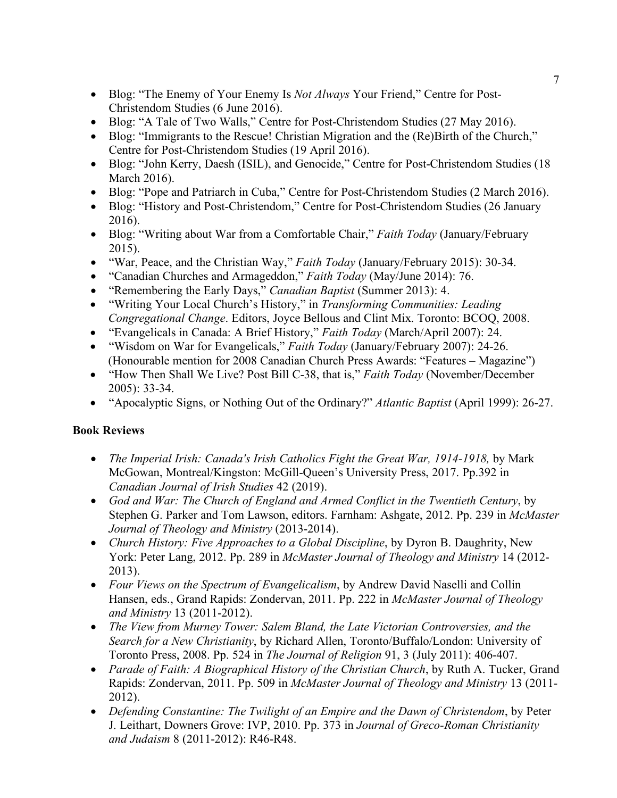- Blog: "The Enemy of Your Enemy Is *Not Always* Your Friend," Centre for Post-Christendom Studies (6 June 2016).
- Blog: "A Tale of Two Walls," Centre for Post-Christendom Studies (27 May 2016).
- Blog: "Immigrants to the Rescue! Christian Migration and the (Re)Birth of the Church," Centre for Post-Christendom Studies (19 April 2016).
- Blog: "John Kerry, Daesh (ISIL), and Genocide," Centre for Post-Christendom Studies (18 March 2016).
- Blog: "Pope and Patriarch in Cuba," Centre for Post-Christendom Studies (2 March 2016).
- Blog: "History and Post-Christendom," Centre for Post-Christendom Studies (26 January 2016).
- Blog: "Writing about War from a Comfortable Chair," *Faith Today* (January/February 2015).
- "War, Peace, and the Christian Way," *Faith Today* (January/February 2015): 30-34.
- "Canadian Churches and Armageddon," *Faith Today* (May/June 2014): 76.
- "Remembering the Early Days," *Canadian Baptist* (Summer 2013): 4.
- "Writing Your Local Church's History," in *Transforming Communities: Leading Congregational Change*. Editors, Joyce Bellous and Clint Mix. Toronto: BCOQ, 2008.
- "Evangelicals in Canada: A Brief History," *Faith Today* (March/April 2007): 24.
- "Wisdom on War for Evangelicals," *Faith Today* (January/February 2007): 24-26. (Honourable mention for 2008 Canadian Church Press Awards: "Features – Magazine")
- "How Then Shall We Live? Post Bill C-38, that is," *Faith Today* (November/December 2005): 33-34.
- "Apocalyptic Signs, or Nothing Out of the Ordinary?" *Atlantic Baptist* (April 1999): 26-27.

### **Book Reviews**

- *The Imperial Irish: Canada's Irish Catholics Fight the Great War, 1914-1918,* by Mark McGowan, Montreal/Kingston: McGill-Queen's University Press, 2017. Pp.392 in *Canadian Journal of Irish Studies* 42 (2019).
- *God and War: The Church of England and Armed Conflict in the Twentieth Century*, by Stephen G. Parker and Tom Lawson, editors. Farnham: Ashgate, 2012. Pp. 239 in *McMaster Journal of Theology and Ministry* (2013-2014).
- *Church History: Five Approaches to a Global Discipline*, by Dyron B. Daughrity, New York: Peter Lang, 2012. Pp. 289 in *McMaster Journal of Theology and Ministry* 14 (2012- 2013).
- *Four Views on the Spectrum of Evangelicalism*, by Andrew David Naselli and Collin Hansen, eds., Grand Rapids: Zondervan, 2011. Pp. 222 in *McMaster Journal of Theology and Ministry* 13 (2011-2012).
- *The View from Murney Tower: Salem Bland, the Late Victorian Controversies, and the Search for a New Christianity*, by Richard Allen, Toronto/Buffalo/London: University of Toronto Press, 2008. Pp. 524 in *The Journal of Religion* 91, 3 (July 2011): 406-407.
- *Parade of Faith: A Biographical History of the Christian Church*, by Ruth A. Tucker, Grand Rapids: Zondervan, 2011. Pp. 509 in *McMaster Journal of Theology and Ministry* 13 (2011- 2012).
- *Defending Constantine: The Twilight of an Empire and the Dawn of Christendom*, by Peter J. Leithart, Downers Grove: IVP, 2010. Pp. 373 in *Journal of Greco-Roman Christianity and Judaism* 8 (2011-2012): R46-R48.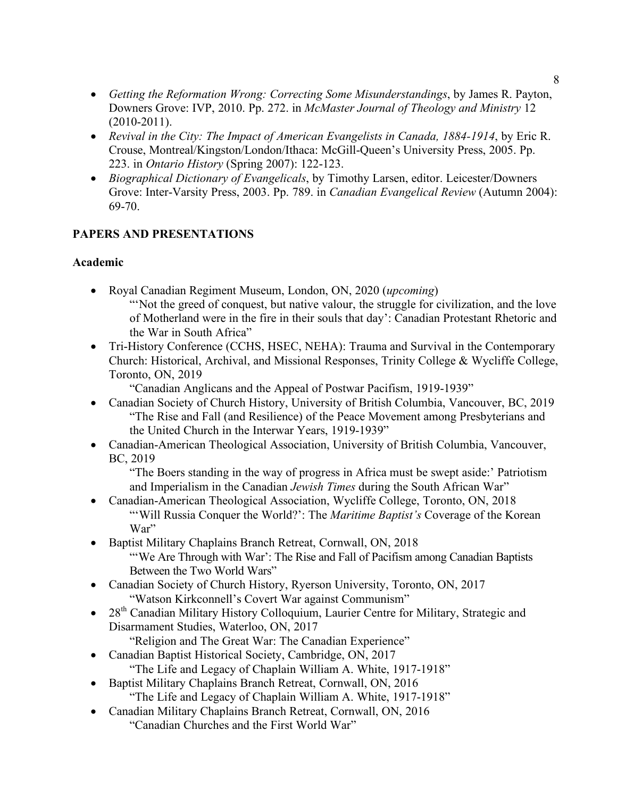- *Getting the Reformation Wrong: Correcting Some Misunderstandings*, by James R. Payton, Downers Grove: IVP, 2010. Pp. 272. in *McMaster Journal of Theology and Ministry* 12 (2010-2011).
- *Revival in the City: The Impact of American Evangelists in Canada, 1884-1914*, by Eric R. Crouse, Montreal/Kingston/London/Ithaca: McGill-Queen's University Press, 2005. Pp. 223. in *Ontario History* (Spring 2007): 122-123.
- *Biographical Dictionary of Evangelicals*, by Timothy Larsen, editor. Leicester/Downers Grove: Inter-Varsity Press, 2003. Pp. 789. in *Canadian Evangelical Review* (Autumn 2004): 69-70.

## **PAPERS AND PRESENTATIONS**

### **Academic**

- Royal Canadian Regiment Museum, London, ON, 2020 (*upcoming*) "'Not the greed of conquest, but native valour, the struggle for civilization, and the love of Motherland were in the fire in their souls that day': Canadian Protestant Rhetoric and the War in South Africa"
- Tri-History Conference (CCHS, HSEC, NEHA): Trauma and Survival in the Contemporary Church: Historical, Archival, and Missional Responses, Trinity College & Wycliffe College, Toronto, ON, 2019
	- "Canadian Anglicans and the Appeal of Postwar Pacifism, 1919-1939"
- Canadian Society of Church History, University of British Columbia, Vancouver, BC, 2019 "The Rise and Fall (and Resilience) of the Peace Movement among Presbyterians and the United Church in the Interwar Years, 1919-1939"
- Canadian-American Theological Association, University of British Columbia, Vancouver, BC, 2019

"The Boers standing in the way of progress in Africa must be swept aside:' Patriotism and Imperialism in the Canadian *Jewish Times* during the South African War"

- Canadian-American Theological Association, Wycliffe College, Toronto, ON, 2018 "'Will Russia Conquer the World?': The *Maritime Baptist's* Coverage of the Korean War"
- Baptist Military Chaplains Branch Retreat, Cornwall, ON, 2018 "'We Are Through with War': The Rise and Fall of Pacifism among Canadian Baptists Between the Two World Wars"
- Canadian Society of Church History, Ryerson University, Toronto, ON, 2017 "Watson Kirkconnell's Covert War against Communism"
- 28<sup>th</sup> Canadian Military History Colloquium, Laurier Centre for Military, Strategic and Disarmament Studies, Waterloo, ON, 2017
	- "Religion and The Great War: The Canadian Experience"
- Canadian Baptist Historical Society, Cambridge, ON, 2017 "The Life and Legacy of Chaplain William A. White, 1917-1918"
- Baptist Military Chaplains Branch Retreat, Cornwall, ON, 2016 "The Life and Legacy of Chaplain William A. White, 1917-1918"
- Canadian Military Chaplains Branch Retreat, Cornwall, ON, 2016 "Canadian Churches and the First World War"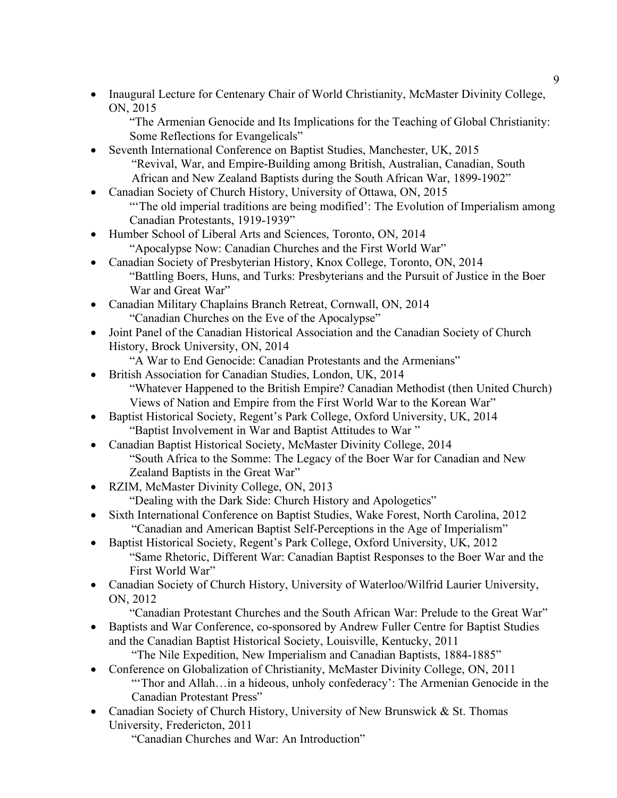• Inaugural Lecture for Centenary Chair of World Christianity, McMaster Divinity College, ON, 2015

"The Armenian Genocide and Its Implications for the Teaching of Global Christianity: Some Reflections for Evangelicals"

- Seventh International Conference on Baptist Studies, Manchester, UK, 2015 "Revival, War, and Empire-Building among British, Australian, Canadian, South African and New Zealand Baptists during the South African War, 1899-1902"
- Canadian Society of Church History, University of Ottawa, ON, 2015 "The old imperial traditions are being modified': The Evolution of Imperialism among Canadian Protestants, 1919-1939"
- Humber School of Liberal Arts and Sciences, Toronto, ON, 2014 "Apocalypse Now: Canadian Churches and the First World War"
- Canadian Society of Presbyterian History, Knox College, Toronto, ON, 2014 "Battling Boers, Huns, and Turks: Presbyterians and the Pursuit of Justice in the Boer War and Great War"
- Canadian Military Chaplains Branch Retreat, Cornwall, ON, 2014 "Canadian Churches on the Eve of the Apocalypse"
- Joint Panel of the Canadian Historical Association and the Canadian Society of Church History, Brock University, ON, 2014
	- "A War to End Genocide: Canadian Protestants and the Armenians"
- British Association for Canadian Studies, London, UK, 2014 "Whatever Happened to the British Empire? Canadian Methodist (then United Church) Views of Nation and Empire from the First World War to the Korean War"
- Baptist Historical Society, Regent's Park College, Oxford University, UK, 2014 "Baptist Involvement in War and Baptist Attitudes to War "
- Canadian Baptist Historical Society, McMaster Divinity College, 2014 "South Africa to the Somme: The Legacy of the Boer War for Canadian and New Zealand Baptists in the Great War"
- RZIM, McMaster Divinity College, ON, 2013
	- "Dealing with the Dark Side: Church History and Apologetics"
- Sixth International Conference on Baptist Studies, Wake Forest, North Carolina, 2012 "Canadian and American Baptist Self-Perceptions in the Age of Imperialism"
- Baptist Historical Society, Regent's Park College, Oxford University, UK, 2012 "Same Rhetoric, Different War: Canadian Baptist Responses to the Boer War and the First World War"
- Canadian Society of Church History, University of Waterloo/Wilfrid Laurier University, ON, 2012
	- "Canadian Protestant Churches and the South African War: Prelude to the Great War"
- Baptists and War Conference, co-sponsored by Andrew Fuller Centre for Baptist Studies and the Canadian Baptist Historical Society, Louisville, Kentucky, 2011 "The Nile Expedition, New Imperialism and Canadian Baptists, 1884-1885"
- Conference on Globalization of Christianity, McMaster Divinity College, ON, 2011 "Thor and Allah...in a hideous, unholy confederacy': The Armenian Genocide in the Canadian Protestant Press"
- Canadian Society of Church History, University of New Brunswick & St. Thomas University, Fredericton, 2011

"Canadian Churches and War: An Introduction"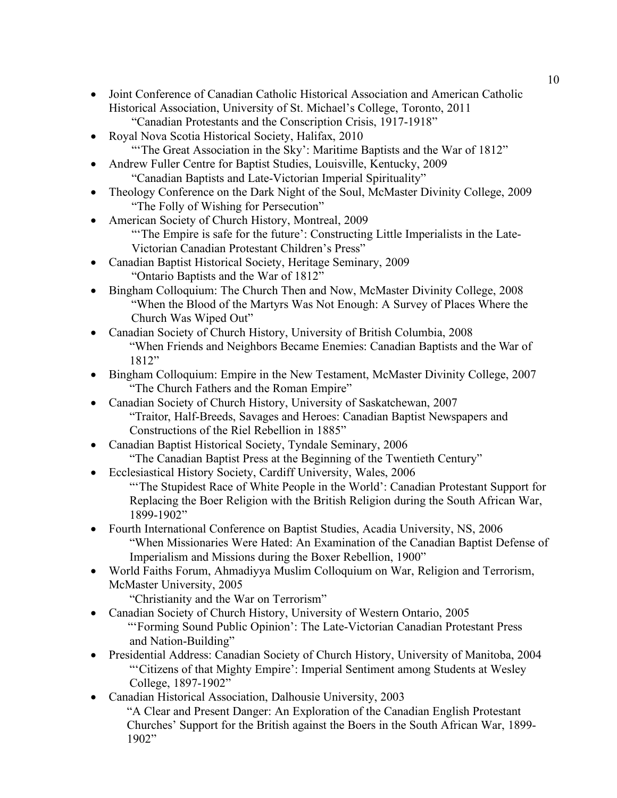- Joint Conference of Canadian Catholic Historical Association and American Catholic Historical Association, University of St. Michael's College, Toronto, 2011 "Canadian Protestants and the Conscription Crisis, 1917-1918"
- Royal Nova Scotia Historical Society, Halifax, 2010 "The Great Association in the Sky': Maritime Baptists and the War of 1812"
- Andrew Fuller Centre for Baptist Studies, Louisville, Kentucky, 2009 "Canadian Baptists and Late-Victorian Imperial Spirituality"
- Theology Conference on the Dark Night of the Soul, McMaster Divinity College, 2009 "The Folly of Wishing for Persecution"
- American Society of Church History, Montreal, 2009 "'The Empire is safe for the future': Constructing Little Imperialists in the Late-Victorian Canadian Protestant Children's Press"
- Canadian Baptist Historical Society, Heritage Seminary, 2009 "Ontario Baptists and the War of 1812"
- Bingham Colloquium: The Church Then and Now, McMaster Divinity College, 2008 "When the Blood of the Martyrs Was Not Enough: A Survey of Places Where the Church Was Wiped Out"
- Canadian Society of Church History, University of British Columbia, 2008 "When Friends and Neighbors Became Enemies: Canadian Baptists and the War of 1812"
- Bingham Colloquium: Empire in the New Testament, McMaster Divinity College, 2007 "The Church Fathers and the Roman Empire"
- Canadian Society of Church History, University of Saskatchewan, 2007 "Traitor, Half-Breeds, Savages and Heroes: Canadian Baptist Newspapers and Constructions of the Riel Rebellion in 1885"
- Canadian Baptist Historical Society, Tyndale Seminary, 2006 "The Canadian Baptist Press at the Beginning of the Twentieth Century"
- Ecclesiastical History Society, Cardiff University, Wales, 2006 "'The Stupidest Race of White People in the World': Canadian Protestant Support for Replacing the Boer Religion with the British Religion during the South African War, 1899-1902"
- Fourth International Conference on Baptist Studies, Acadia University, NS, 2006 "When Missionaries Were Hated: An Examination of the Canadian Baptist Defense of Imperialism and Missions during the Boxer Rebellion, 1900"
- World Faiths Forum, Ahmadiyya Muslim Colloquium on War, Religion and Terrorism, McMaster University, 2005
	- "Christianity and the War on Terrorism"
- Canadian Society of Church History, University of Western Ontario, 2005 "'Forming Sound Public Opinion': The Late-Victorian Canadian Protestant Press and Nation-Building"
- Presidential Address: Canadian Society of Church History, University of Manitoba, 2004 "'Citizens of that Mighty Empire': Imperial Sentiment among Students at Wesley College, 1897-1902"
- Canadian Historical Association, Dalhousie University, 2003
	- "A Clear and Present Danger: An Exploration of the Canadian English Protestant Churches' Support for the British against the Boers in the South African War, 1899- 1902"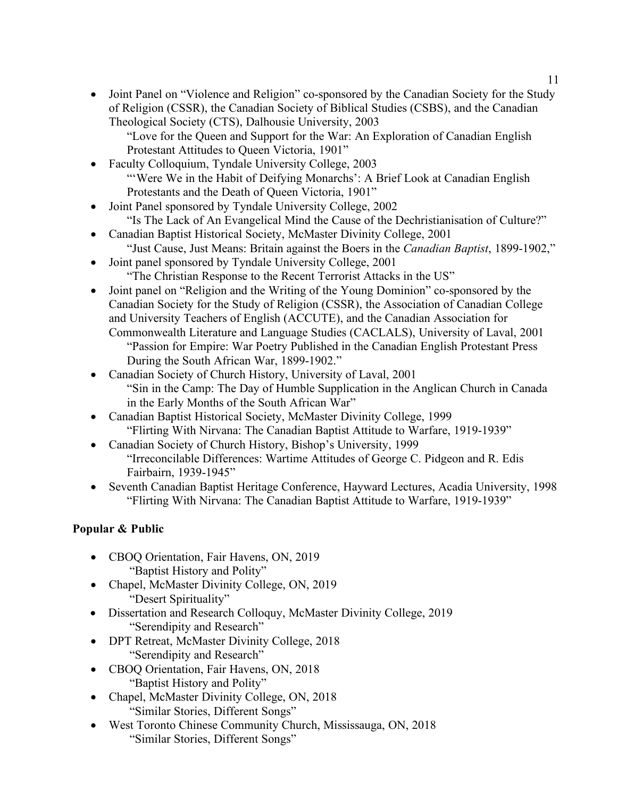• Joint Panel on "Violence and Religion" co-sponsored by the Canadian Society for the Study of Religion (CSSR), the Canadian Society of Biblical Studies (CSBS), and the Canadian Theological Society (CTS), Dalhousie University, 2003

"Love for the Queen and Support for the War: An Exploration of Canadian English Protestant Attitudes to Queen Victoria, 1901"

- Faculty Colloquium, Tyndale University College, 2003 "'Were We in the Habit of Deifying Monarchs': A Brief Look at Canadian English Protestants and the Death of Queen Victoria, 1901"
- Joint Panel sponsored by Tyndale University College, 2002
	- "Is The Lack of An Evangelical Mind the Cause of the Dechristianisation of Culture?"
- Canadian Baptist Historical Society, McMaster Divinity College, 2001
	- "Just Cause, Just Means: Britain against the Boers in the *Canadian Baptist*, 1899-1902,"
- Joint panel sponsored by Tyndale University College, 2001 "The Christian Response to the Recent Terrorist Attacks in the US"
- Joint panel on "Religion and the Writing of the Young Dominion" co-sponsored by the Canadian Society for the Study of Religion (CSSR), the Association of Canadian College and University Teachers of English (ACCUTE), and the Canadian Association for
	- Commonwealth Literature and Language Studies (CACLALS), University of Laval, 2001 "Passion for Empire: War Poetry Published in the Canadian English Protestant Press During the South African War, 1899-1902."
- Canadian Society of Church History, University of Laval, 2001 "Sin in the Camp: The Day of Humble Supplication in the Anglican Church in Canada in the Early Months of the South African War"
- Canadian Baptist Historical Society, McMaster Divinity College, 1999 "Flirting With Nirvana: The Canadian Baptist Attitude to Warfare, 1919-1939"
- Canadian Society of Church History, Bishop's University, 1999 "Irreconcilable Differences: Wartime Attitudes of George C. Pidgeon and R. Edis Fairbairn, 1939-1945"
- Seventh Canadian Baptist Heritage Conference, Hayward Lectures, Acadia University, 1998 "Flirting With Nirvana: The Canadian Baptist Attitude to Warfare, 1919-1939"

# **Popular & Public**

- CBOQ Orientation, Fair Havens, ON, 2019 "Baptist History and Polity"
- Chapel, McMaster Divinity College, ON, 2019 "Desert Spirituality"
- Dissertation and Research Colloquy, McMaster Divinity College, 2019 "Serendipity and Research"
- DPT Retreat, McMaster Divinity College, 2018 "Serendipity and Research"
- CBOQ Orientation, Fair Havens, ON, 2018 "Baptist History and Polity"
- Chapel, McMaster Divinity College, ON, 2018 "Similar Stories, Different Songs"
- West Toronto Chinese Community Church, Mississauga, ON, 2018 "Similar Stories, Different Songs"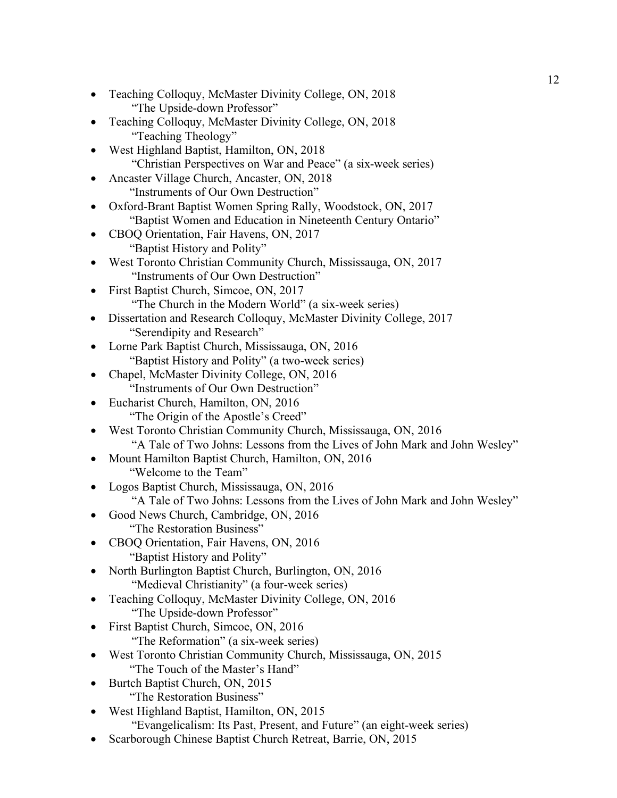- Teaching Colloquy, McMaster Divinity College, ON, 2018 "The Upside-down Professor"
- Teaching Colloquy, McMaster Divinity College, ON, 2018 "Teaching Theology"
- West Highland Baptist, Hamilton, ON, 2018 "Christian Perspectives on War and Peace" (a six-week series)
- Ancaster Village Church, Ancaster, ON, 2018 "Instruments of Our Own Destruction"
- Oxford-Brant Baptist Women Spring Rally, Woodstock, ON, 2017 "Baptist Women and Education in Nineteenth Century Ontario"
- CBOQ Orientation, Fair Havens, ON, 2017 "Baptist History and Polity"
- West Toronto Christian Community Church, Mississauga, ON, 2017 "Instruments of Our Own Destruction"
- First Baptist Church, Simcoe, ON, 2017 "The Church in the Modern World" (a six-week series)
- Dissertation and Research Colloquy, McMaster Divinity College, 2017 "Serendipity and Research"
- Lorne Park Baptist Church, Mississauga, ON, 2016 "Baptist History and Polity" (a two-week series)
- Chapel, McMaster Divinity College, ON, 2016 "Instruments of Our Own Destruction"
- Eucharist Church, Hamilton, ON, 2016 "The Origin of the Apostle's Creed"
- West Toronto Christian Community Church, Mississauga, ON, 2016 "A Tale of Two Johns: Lessons from the Lives of John Mark and John Wesley"
- Mount Hamilton Baptist Church, Hamilton, ON, 2016 "Welcome to the Team"
- Logos Baptist Church, Mississauga, ON, 2016
	- "A Tale of Two Johns: Lessons from the Lives of John Mark and John Wesley"
- Good News Church, Cambridge, ON, 2016 "The Restoration Business"
- CBOQ Orientation, Fair Havens, ON, 2016 "Baptist History and Polity"
- North Burlington Baptist Church, Burlington, ON, 2016 "Medieval Christianity" (a four-week series)
- Teaching Colloquy, McMaster Divinity College, ON, 2016 "The Upside-down Professor"
- First Baptist Church, Simcoe, ON, 2016 "The Reformation" (a six-week series)
- West Toronto Christian Community Church, Mississauga, ON, 2015 "The Touch of the Master's Hand"
- Burtch Baptist Church, ON, 2015 "The Restoration Business"
- West Highland Baptist, Hamilton, ON, 2015
	- "Evangelicalism: Its Past, Present, and Future" (an eight-week series)
- Scarborough Chinese Baptist Church Retreat, Barrie, ON, 2015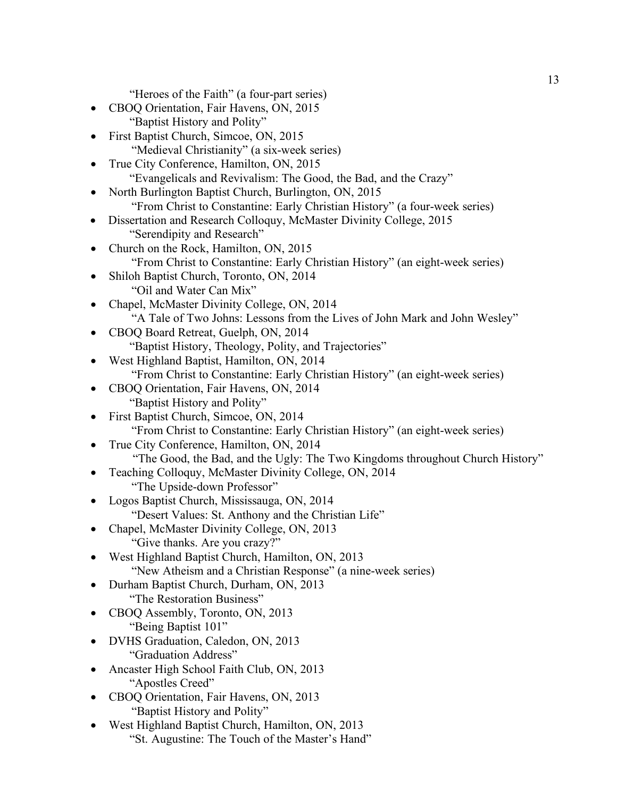"Heroes of the Faith" (a four-part series)

- CBOQ Orientation, Fair Havens, ON, 2015 "Baptist History and Polity"
- First Baptist Church, Simcoe, ON, 2015 "Medieval Christianity" (a six-week series)
- True City Conference, Hamilton, ON, 2015 "Evangelicals and Revivalism: The Good, the Bad, and the Crazy"
- North Burlington Baptist Church, Burlington, ON, 2015 "From Christ to Constantine: Early Christian History" (a four-week series)
- Dissertation and Research Colloquy, McMaster Divinity College, 2015 "Serendipity and Research"
- Church on the Rock, Hamilton, ON, 2015 "From Christ to Constantine: Early Christian History" (an eight-week series)
- Shiloh Baptist Church, Toronto, ON, 2014 "Oil and Water Can Mix"
- Chapel, McMaster Divinity College, ON, 2014 "A Tale of Two Johns: Lessons from the Lives of John Mark and John Wesley"
- CBOQ Board Retreat, Guelph, ON, 2014 "Baptist History, Theology, Polity, and Trajectories"
- West Highland Baptist, Hamilton, ON, 2014 "From Christ to Constantine: Early Christian History" (an eight-week series)
- CBOQ Orientation, Fair Havens, ON, 2014 "Baptist History and Polity"
- First Baptist Church, Simcoe, ON, 2014
- "From Christ to Constantine: Early Christian History" (an eight-week series) • True City Conference, Hamilton, ON, 2014
	- "The Good, the Bad, and the Ugly: The Two Kingdoms throughout Church History"
- Teaching Colloquy, McMaster Divinity College, ON, 2014 "The Upside-down Professor"
- Logos Baptist Church, Mississauga, ON, 2014 "Desert Values: St. Anthony and the Christian Life"
	- Chapel, McMaster Divinity College, ON, 2013 "Give thanks. Are you crazy?"
- West Highland Baptist Church, Hamilton, ON, 2013 "New Atheism and a Christian Response" (a nine-week series)
- Durham Baptist Church, Durham, ON, 2013 "The Restoration Business"
- CBOQ Assembly, Toronto, ON, 2013 "Being Baptist 101"
- DVHS Graduation, Caledon, ON, 2013 "Graduation Address"
- Ancaster High School Faith Club, ON, 2013 "Apostles Creed"
- CBOQ Orientation, Fair Havens, ON, 2013 "Baptist History and Polity"
- West Highland Baptist Church, Hamilton, ON, 2013 "St. Augustine: The Touch of the Master's Hand"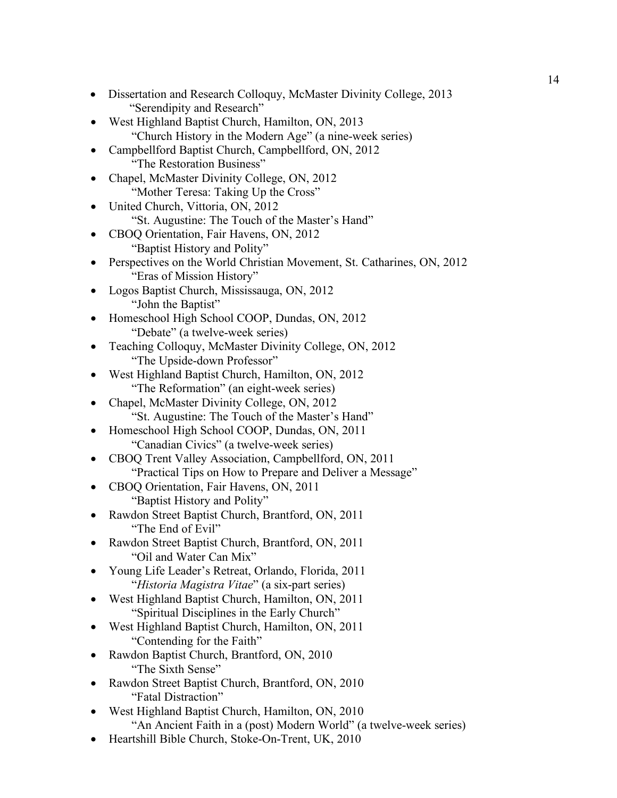- Dissertation and Research Colloquy, McMaster Divinity College, 2013 "Serendipity and Research"
- West Highland Baptist Church, Hamilton, ON, 2013 "Church History in the Modern Age" (a nine-week series)
- Campbellford Baptist Church, Campbellford, ON, 2012 "The Restoration Business"
- Chapel, McMaster Divinity College, ON, 2012 "Mother Teresa: Taking Up the Cross"
- United Church, Vittoria, ON, 2012
	- "St. Augustine: The Touch of the Master's Hand"
- CBOQ Orientation, Fair Havens, ON, 2012 "Baptist History and Polity"
- Perspectives on the World Christian Movement, St. Catharines, ON, 2012 "Eras of Mission History"
- Logos Baptist Church, Mississauga, ON, 2012 "John the Baptist"
- Homeschool High School COOP, Dundas, ON, 2012 "Debate" (a twelve-week series)
- Teaching Colloquy, McMaster Divinity College, ON, 2012 "The Upside-down Professor"
- West Highland Baptist Church, Hamilton, ON, 2012 "The Reformation" (an eight-week series)
- Chapel, McMaster Divinity College, ON, 2012 "St. Augustine: The Touch of the Master's Hand"
- Homeschool High School COOP, Dundas, ON, 2011 "Canadian Civics" (a twelve-week series)
- CBOQ Trent Valley Association, Campbellford, ON, 2011 "Practical Tips on How to Prepare and Deliver a Message"
- CBOQ Orientation, Fair Havens, ON, 2011 "Baptist History and Polity"
- Rawdon Street Baptist Church, Brantford, ON, 2011 "The End of Evil"
- Rawdon Street Baptist Church, Brantford, ON, 2011 "Oil and Water Can Mix"
- Young Life Leader's Retreat, Orlando, Florida, 2011 "*Historia Magistra Vitae*" (a six-part series)
- West Highland Baptist Church, Hamilton, ON, 2011 "Spiritual Disciplines in the Early Church"
- West Highland Baptist Church, Hamilton, ON, 2011 "Contending for the Faith"
- Rawdon Baptist Church, Brantford, ON, 2010 "The Sixth Sense"
- Rawdon Street Baptist Church, Brantford, ON, 2010 "Fatal Distraction"
- West Highland Baptist Church, Hamilton, ON, 2010 "An Ancient Faith in a (post) Modern World" (a twelve-week series)
- Heartshill Bible Church, Stoke-On-Trent, UK, 2010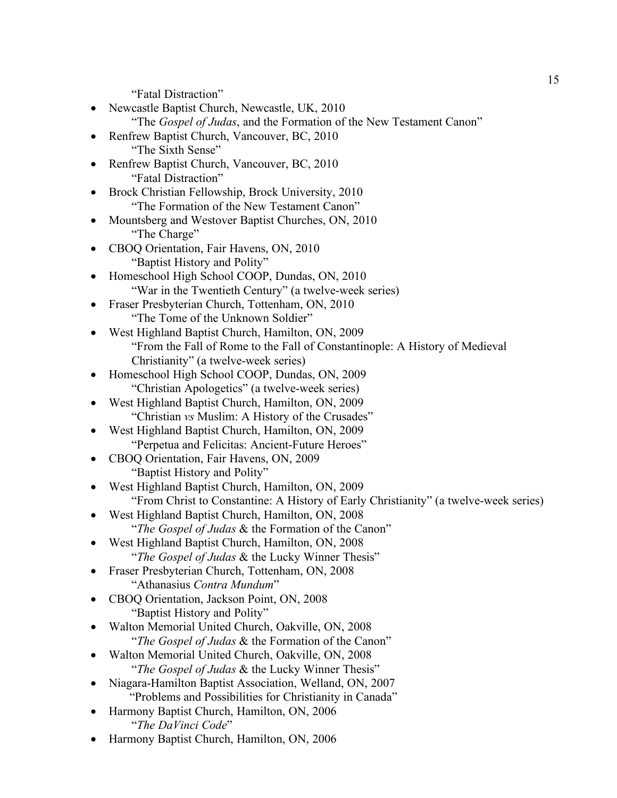"Fatal Distraction"

- Newcastle Baptist Church, Newcastle, UK, 2010
	- "The *Gospel of Judas*, and the Formation of the New Testament Canon"
- Renfrew Baptist Church, Vancouver, BC, 2010 "The Sixth Sense"
- Renfrew Baptist Church, Vancouver, BC, 2010 "Fatal Distraction"
- Brock Christian Fellowship, Brock University, 2010 "The Formation of the New Testament Canon"
- Mountsberg and Westover Baptist Churches, ON, 2010 "The Charge"
- CBOQ Orientation, Fair Havens, ON, 2010 "Baptist History and Polity"
- Homeschool High School COOP, Dundas, ON, 2010 "War in the Twentieth Century" (a twelve-week series)
- Fraser Presbyterian Church, Tottenham, ON, 2010 "The Tome of the Unknown Soldier"
- West Highland Baptist Church, Hamilton, ON, 2009 "From the Fall of Rome to the Fall of Constantinople: A History of Medieval Christianity" (a twelve-week series)
- Homeschool High School COOP, Dundas, ON, 2009 "Christian Apologetics" (a twelve-week series)
- West Highland Baptist Church, Hamilton, ON, 2009 "Christian *vs* Muslim: A History of the Crusades"
- West Highland Baptist Church, Hamilton, ON, 2009 "Perpetua and Felicitas: Ancient-Future Heroes"
- CBOQ Orientation, Fair Havens, ON, 2009 "Baptist History and Polity"
- West Highland Baptist Church, Hamilton, ON, 2009
	- "From Christ to Constantine: A History of Early Christianity" (a twelve-week series)
- West Highland Baptist Church, Hamilton, ON, 2008 "*The Gospel of Judas* & the Formation of the Canon"
	-
	- West Highland Baptist Church, Hamilton, ON, 2008 "*The Gospel of Judas* & the Lucky Winner Thesis"
- Fraser Presbyterian Church, Tottenham, ON, 2008 "Athanasius *Contra Mundum*"
- CBOQ Orientation, Jackson Point, ON, 2008 "Baptist History and Polity"
- Walton Memorial United Church, Oakville, ON, 2008 "*The Gospel of Judas* & the Formation of the Canon"
- Walton Memorial United Church, Oakville, ON, 2008 "*The Gospel of Judas* & the Lucky Winner Thesis"
- Niagara-Hamilton Baptist Association, Welland, ON, 2007 "Problems and Possibilities for Christianity in Canada"
- Harmony Baptist Church, Hamilton, ON, 2006 "*The DaVinci Code*"
- Harmony Baptist Church, Hamilton, ON, 2006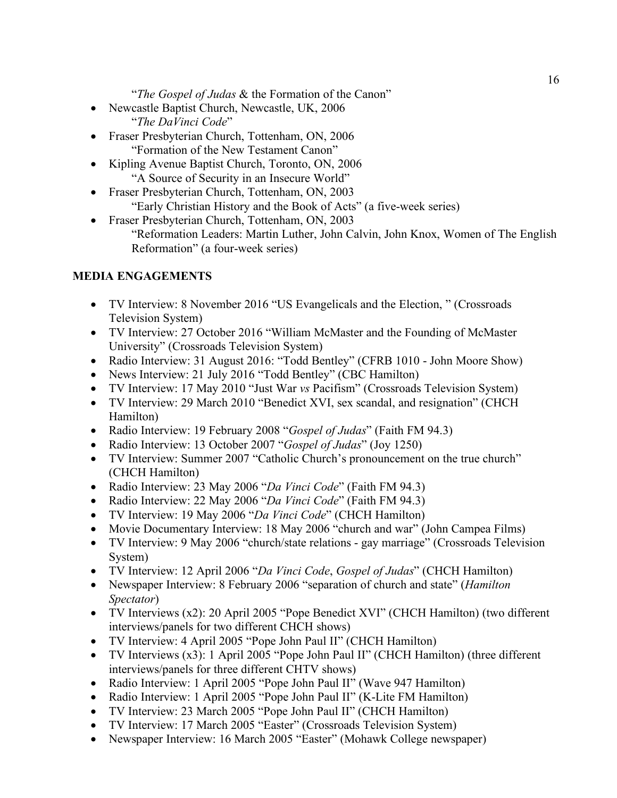"*The Gospel of Judas* & the Formation of the Canon"

- Newcastle Baptist Church, Newcastle, UK, 2006 "*The DaVinci Code*"
- Fraser Presbyterian Church, Tottenham, ON, 2006 "Formation of the New Testament Canon"
- Kipling Avenue Baptist Church, Toronto, ON, 2006 "A Source of Security in an Insecure World"
- Fraser Presbyterian Church, Tottenham, ON, 2003 "Early Christian History and the Book of Acts" (a five-week series)
- Fraser Presbyterian Church, Tottenham, ON, 2003 "Reformation Leaders: Martin Luther, John Calvin, John Knox, Women of The English Reformation" (a four-week series)

## **MEDIA ENGAGEMENTS**

- TV Interview: 8 November 2016 "US Evangelicals and the Election, " (Crossroads Television System)
- TV Interview: 27 October 2016 "William McMaster and the Founding of McMaster University" (Crossroads Television System)
- Radio Interview: 31 August 2016: "Todd Bentley" (CFRB 1010 John Moore Show)
- News Interview: 21 July 2016 "Todd Bentley" (CBC Hamilton)
- TV Interview: 17 May 2010 "Just War *vs* Pacifism" (Crossroads Television System)
- TV Interview: 29 March 2010 "Benedict XVI, sex scandal, and resignation" (CHCH Hamilton)
- Radio Interview: 19 February 2008 "*Gospel of Judas*" (Faith FM 94.3)
- Radio Interview: 13 October 2007 "*Gospel of Judas*" (Joy 1250)
- TV Interview: Summer 2007 "Catholic Church's pronouncement on the true church" (CHCH Hamilton)
- Radio Interview: 23 May 2006 "*Da Vinci Code*" (Faith FM 94.3)
- Radio Interview: 22 May 2006 "*Da Vinci Code*" (Faith FM 94.3)
- TV Interview: 19 May 2006 "*Da Vinci Code*" (CHCH Hamilton)
- Movie Documentary Interview: 18 May 2006 "church and war" (John Campea Films)
- TV Interview: 9 May 2006 "church/state relations gay marriage" (Crossroads Television System)
- TV Interview: 12 April 2006 "*Da Vinci Code*, *Gospel of Judas*" (CHCH Hamilton)
- Newspaper Interview: 8 February 2006 "separation of church and state" (*Hamilton Spectator*)
- TV Interviews (x2): 20 April 2005 "Pope Benedict XVI" (CHCH Hamilton) (two different interviews/panels for two different CHCH shows)
- TV Interview: 4 April 2005 "Pope John Paul II" (CHCH Hamilton)
- TV Interviews (x3): 1 April 2005 "Pope John Paul II" (CHCH Hamilton) (three different interviews/panels for three different CHTV shows)
- Radio Interview: 1 April 2005 "Pope John Paul II" (Wave 947 Hamilton)
- Radio Interview: 1 April 2005 "Pope John Paul II" (K-Lite FM Hamilton)
- TV Interview: 23 March 2005 "Pope John Paul II" (CHCH Hamilton)
- TV Interview: 17 March 2005 "Easter" (Crossroads Television System)
- Newspaper Interview: 16 March 2005 "Easter" (Mohawk College newspaper)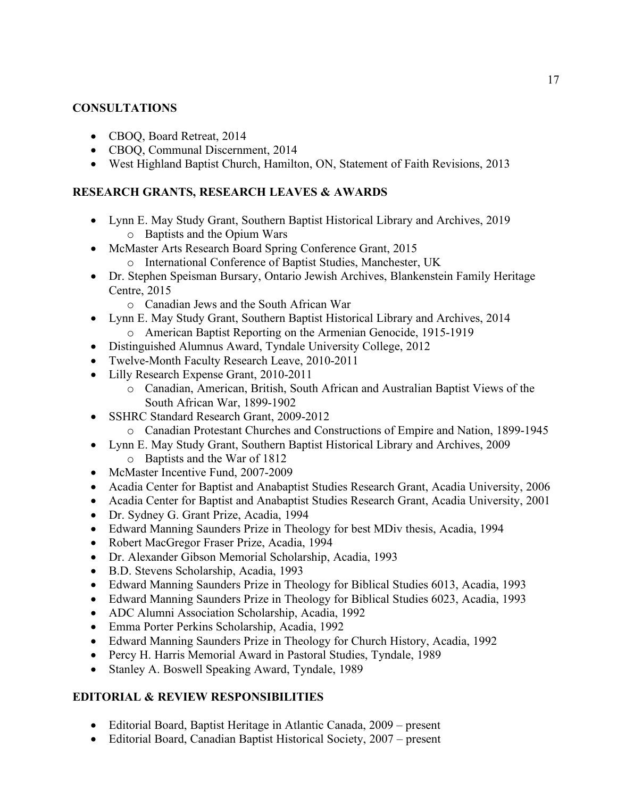### **CONSULTATIONS**

- CBOO, Board Retreat, 2014
- CBOQ, Communal Discernment, 2014
- West Highland Baptist Church, Hamilton, ON, Statement of Faith Revisions, 2013

### **RESEARCH GRANTS, RESEARCH LEAVES & AWARDS**

- Lynn E. May Study Grant, Southern Baptist Historical Library and Archives, 2019 o Baptists and the Opium Wars
- McMaster Arts Research Board Spring Conference Grant, 2015
	- o International Conference of Baptist Studies, Manchester, UK
- Dr. Stephen Speisman Bursary, Ontario Jewish Archives, Blankenstein Family Heritage Centre, 2015
	- o Canadian Jews and the South African War
- Lynn E. May Study Grant, Southern Baptist Historical Library and Archives, 2014 o American Baptist Reporting on the Armenian Genocide, 1915-1919
- Distinguished Alumnus Award, Tyndale University College, 2012
- Twelve-Month Faculty Research Leave, 2010-2011
- Lilly Research Expense Grant, 2010-2011
	- o Canadian, American, British, South African and Australian Baptist Views of the South African War, 1899-1902
- SSHRC Standard Research Grant, 2009-2012
	- o Canadian Protestant Churches and Constructions of Empire and Nation, 1899-1945
- Lynn E. May Study Grant, Southern Baptist Historical Library and Archives, 2009
	- o Baptists and the War of 1812
- McMaster Incentive Fund, 2007-2009
- Acadia Center for Baptist and Anabaptist Studies Research Grant, Acadia University, 2006
- Acadia Center for Baptist and Anabaptist Studies Research Grant, Acadia University, 2001
- Dr. Sydney G. Grant Prize, Acadia, 1994
- Edward Manning Saunders Prize in Theology for best MDiv thesis, Acadia, 1994
- Robert MacGregor Fraser Prize, Acadia, 1994
- Dr. Alexander Gibson Memorial Scholarship, Acadia, 1993
- B.D. Stevens Scholarship, Acadia, 1993
- Edward Manning Saunders Prize in Theology for Biblical Studies 6013, Acadia, 1993
- Edward Manning Saunders Prize in Theology for Biblical Studies 6023, Acadia, 1993
- ADC Alumni Association Scholarship, Acadia, 1992
- Emma Porter Perkins Scholarship, Acadia, 1992
- Edward Manning Saunders Prize in Theology for Church History, Acadia, 1992
- Percy H. Harris Memorial Award in Pastoral Studies, Tyndale, 1989
- Stanley A. Boswell Speaking Award, Tyndale, 1989

# **EDITORIAL & REVIEW RESPONSIBILITIES**

- Editorial Board, Baptist Heritage in Atlantic Canada, 2009 present
- Editorial Board, Canadian Baptist Historical Society, 2007 present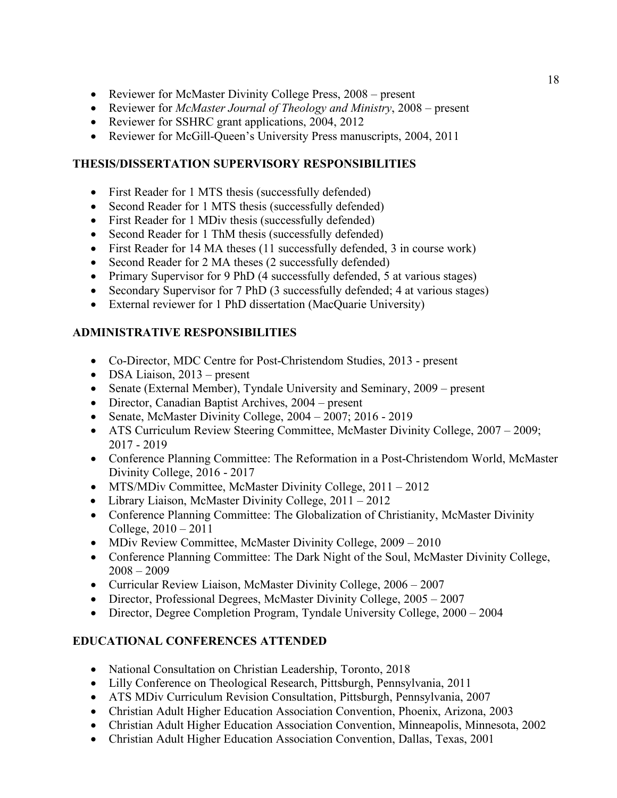- Reviewer for McMaster Divinity College Press, 2008 present
- Reviewer for *McMaster Journal of Theology and Ministry*, 2008 present
- Reviewer for SSHRC grant applications, 2004, 2012
- Reviewer for McGill-Queen's University Press manuscripts, 2004, 2011

## **THESIS/DISSERTATION SUPERVISORY RESPONSIBILITIES**

- First Reader for 1 MTS thesis (successfully defended)
- Second Reader for 1 MTS thesis (successfully defended)
- First Reader for 1 MDiv thesis (successfully defended)
- Second Reader for 1 ThM thesis (successfully defended)
- First Reader for 14 MA theses (11 successfully defended, 3 in course work)
- Second Reader for 2 MA theses (2 successfully defended)
- Primary Supervisor for 9 PhD (4 successfully defended, 5 at various stages)
- Secondary Supervisor for 7 PhD (3 successfully defended; 4 at various stages)
- External reviewer for 1 PhD dissertation (MacQuarie University)

# **ADMINISTRATIVE RESPONSIBILITIES**

- Co-Director, MDC Centre for Post-Christendom Studies, 2013 present
- DSA Liaison, 2013 present
- Senate (External Member), Tyndale University and Seminary, 2009 present
- Director, Canadian Baptist Archives, 2004 present
- Senate, McMaster Divinity College,  $2004 2007$ ;  $2016 2019$
- ATS Curriculum Review Steering Committee, McMaster Divinity College, 2007 2009; 2017 - 2019
- Conference Planning Committee: The Reformation in a Post-Christendom World, McMaster Divinity College, 2016 - 2017
- MTS/MDiv Committee, McMaster Divinity College, 2011 2012
- Library Liaison, McMaster Divinity College, 2011 2012
- Conference Planning Committee: The Globalization of Christianity, McMaster Divinity College, 2010 – 2011
- MDiv Review Committee, McMaster Divinity College, 2009 2010
- Conference Planning Committee: The Dark Night of the Soul, McMaster Divinity College,  $2008 - 2009$
- Curricular Review Liaison, McMaster Divinity College, 2006 2007
- Director, Professional Degrees, McMaster Divinity College, 2005 2007
- Director, Degree Completion Program, Tyndale University College, 2000 2004

# **EDUCATIONAL CONFERENCES ATTENDED**

- National Consultation on Christian Leadership, Toronto, 2018
- Lilly Conference on Theological Research, Pittsburgh, Pennsylvania, 2011
- ATS MDiv Curriculum Revision Consultation, Pittsburgh, Pennsylvania, 2007
- Christian Adult Higher Education Association Convention, Phoenix, Arizona, 2003
- Christian Adult Higher Education Association Convention, Minneapolis, Minnesota, 2002
- Christian Adult Higher Education Association Convention, Dallas, Texas, 2001